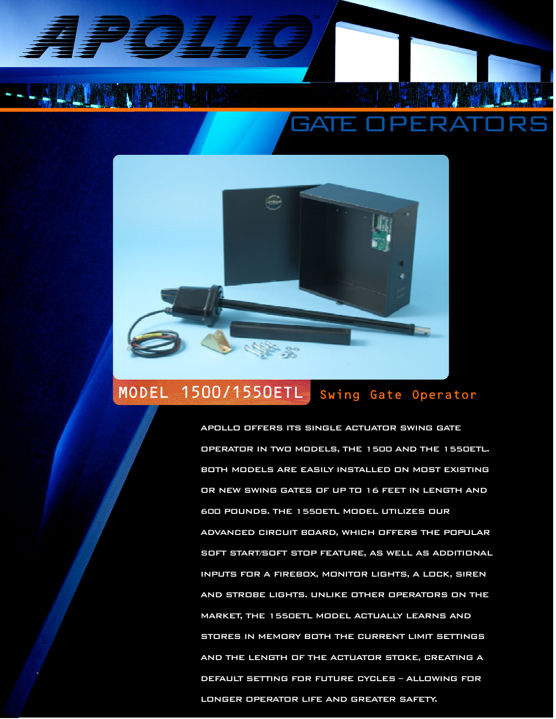APOLIO

# GATE OPERATORS



## MODEL 1500/1550ETL Swing Gate Operator

APOLLO OFFERS ITS SINGLE ACTUATOR SWING GATE OPERATOR IN TWO MODELS, THE 1500 AND THE 1550ETL. BOTH MODELS ARE EASILY INSTALLED ON MOST EXISTING OR NEW SWING GATES OF UP TO 16 FEET IN LENGTH AND 600 POUNDS. THE 1550ETL MODEL UTILIZES OUR ADVANCED CIRCUIT BOARD, WHICH OFFERS THE POPULAR SOFT START/SOFT STOP FEATURE, AS WELL AS ADDITIONAL INPUTS FOR A FIREBOX, MONITOR LIGHTS, A LOCK, SIREN AND STROBE LIGHTS. UNLIKE OTHER OPERATORS ON THE MARKET, THE 1550ETL MODEL ACTUALLY LEARNS AND STORES IN MEMORY BOTH THE CURRENT LIMIT SETTINGS AND THE LENGTH OF THE ACTUATOR STOKE, CREATING A DEFAULT SETTING FOR FUTURE CYCLES - ALLOWING FOR LONGER OPERATOR LIFE AND GREATER SAFETY.